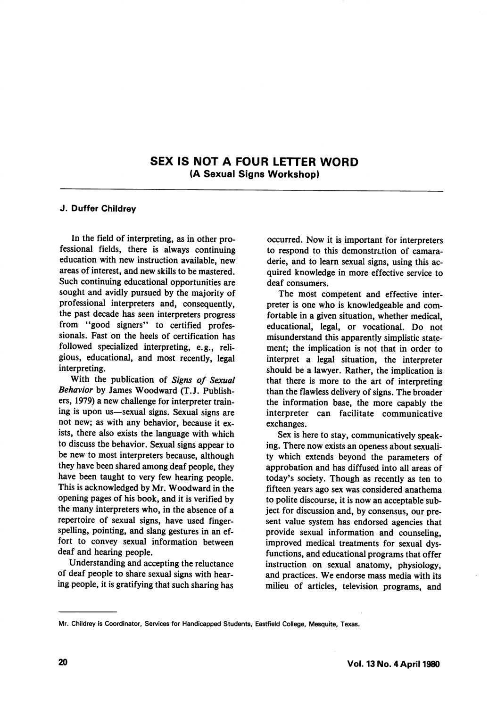## SEX IS NOT A FOUR LETTER WORD (A Sexual Signs Workshop)

## J. Duffer Childrey

In the field of interpreting, as in other pro fessional fields, there is always continuing education with new instruction available, new areas of interest, and new skills to be mastered. Such continuing educational opportunities are sought and avidly pursued by the majority of professional interpreters and, consequently, the past decade has seen interpreters progress from "good signers" to certified professionals. Fast on the heels of certification has followed specialized interpreting, e.g., reli gious, educational, and most recently, legal interpreting.

With the publication of Signs of Sexual Behavior by James Woodward (T.J. Publish ers, 1979) a new challenge for interpreter train ing is upon us—sexual signs. Sexual signs are not new; as with any behavior, because it ex ists, there also exists the language with which to discuss the behavior. Sexual signs appear to be new to most interpreters because, although they have been shared among deaf people, they have been taught to very few hearing people. This is acknowledged by Mr. Woodward in the opening pages of his book, and it is verified by the many interpreters who, in the absence of a repertoire of sexual signs, have used fingerspelling, pointing, and slang gestures in an ef fort to convey sexual information between deaf and hearing people.

Understanding and accepting the reluctance of deaf people to share sexual signs with hear ing people, it is gratifying that such sharing has

occurred. Now it is important for interpreters to respond to this demonstration of camara derie, and to learn sexual signs, using this ac quired knowledge in more effective service to deaf consumers.

The most competent and effective inter preter is one who is knowledgeable and com fortable in a given situation, whether medical, educational, legal, or vocational. Do not misunderstand this apparently simplistic state ment; the implication is not that in order to interpret a legal situation, the interpreter should be a lawyer. Rather, the implication is that there is more to the art of interpreting than the flawless delivery of signs. The broader the information base, the more capably the interpreter can facilitate communicative exchanges.

Sex is here to stay, communicatively speak ing. There now exists an openess about sexuali ty which extends beyond the parameters of approbation and has diffused into all areas of today's society. Though as recently as ten to fifteen years ago sex was considered anathema to polite discourse, it is now an acceptable sub ject for discussion and, by consensus, our pre sent value system has endorsed agencies that provide sexual information and counseling, improved medical treatments for sexual dys functions, and educational programs that offer instruction on sexual anatomy, physiology, and practices. We endorse mass media with its milieu of articles, television programs, and

Mr. Childrey is Coordinator, Services for Handicapped Students, Eastfield College, Mesquite, Texas.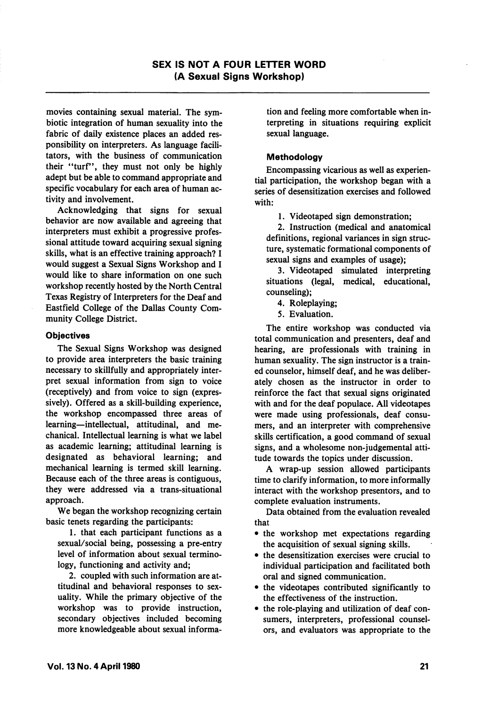movies containing sexual material. The sym biotic integration of human sexuality into the fabric of daily existence places an added res ponsibility on interpreters. As language facili tators, with the business of communication their "turf", they must not only be highly adept but be able to command appropriate and specific vocabulary for each area of human ac tivity and involvement.

Acknowledging that signs for sexual behavior are now available and agreeing that interpreters must exhibit a progressive profes sional attitude toward acquiring sexual signing skills, what is an effective training approach? I would suggest a Sexual Signs Workshop and I would like to share information on one such workshop recently hosted by the North Central Texas Registry of Interpreters for the Deaf and Eastfield College of the Dallas County Com munity College District.

## **Objectives**

The Sexual Signs Workshop was designed to provide area interpreters the basic training necessary to skillfully and appropriately inter pret sexual information from sign to voice (receptively) and from voice to sign (expres sively). Offered as a skill-building experience, the workshop encompassed three areas of learning—intellectual, attitudinal, and me chanical. Intellectual learning is what we label as academic learning; attitudinal learning is designated as behavioral learning; and mechanical learning is termed skill learning. Because each of the three areas is contiguous, they were addressed via a trans-situational approach.

We began the workshop recognizing certain basic tenets regarding the participants:

1. that each participant functions as a sexual/social being, possessing a pre-entry level of information about sexual termino logy, functioning and activity and;

2. coupled with such information are at titudinal and behavioral responses to sex uality. While the primary objective of the workshop was to provide instruction, secondary objectives included becoming more knowledgeable about sexual informa

tion and feeling more comfortable when in terpreting in situations requiring explicit sexual language.

## Methodology

Encompassing vicarious as well as experien tial participation, the workshop began with a series of desensitization exercises and followed with:

1. Videotaped sign demonstration;

2. Instruction (medical and anatomical definitions, regional variances in sign struc ture, systematic formational components of sexual signs and examples of usage);

3. Videotaped simulated interpreting situations (legal, medical, educational, counseling);

4. Roleplaying;

5. Evaluation.

The entire workshop was conducted via total communication and presenters, deaf and hearing, are professionals with training in human sexuality. The sign instructor is a train ed counselor, himself deaf, and he was deliber ately chosen as the instructor in order to reinforce the fact that sexual signs originated with and for the deaf populace. All videotapes were made using professionals, deaf consu mers, and an interpreter with comprehensive skills certification, a good command of sexual signs, and a wholesome non-judgemental atti tude towards the topics under discussion.

A wrap-up session allowed participants time to clarify information, to more informally interact with the workshop presentors, and to complete evaluation instruments.

Data obtained from the evaluation revealed that

- the workshop met expectations regarding the acquisition of sexual signing skills.
- the desensitization exercises were crucial to individual participation and facilitated both oral and signed communication.
- the videotapes contributed significantly to the effectiveness of the instruction.
- the role-playing and utilization of deaf con sumers, interpreters, professional counsel ors, and evaluators was appropriate to the